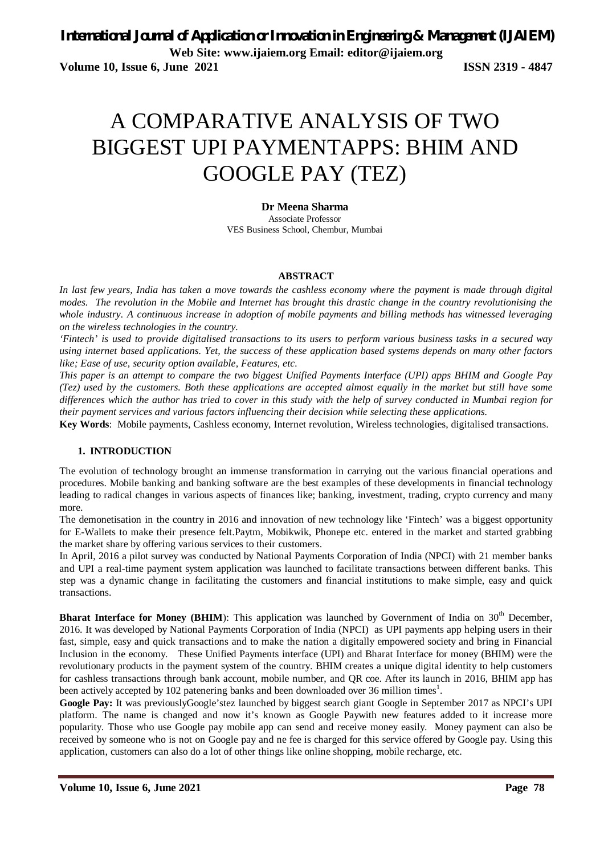**Volume 10, Issue 6, June 2021 ISSN 2319 - 4847** 

# A COMPARATIVE ANALYSIS OF TWO BIGGEST UPI PAYMENTAPPS: BHIM AND GOOGLE PAY (TEZ)

**Dr Meena Sharma**  Associate Professor VES Business School, Chembur, Mumbai

#### **ABSTRACT**

*In last few years, India has taken a move towards the cashless economy where the payment is made through digital modes. The revolution in the Mobile and Internet has brought this drastic change in the country revolutionising the whole industry. A continuous increase in adoption of mobile payments and billing methods has witnessed leveraging on the wireless technologies in the country.* 

*'Fintech' is used to provide digitalised transactions to its users to perform various business tasks in a secured way using internet based applications. Yet, the success of these application based systems depends on many other factors like; Ease of use, security option available, Features, etc.* 

*This paper is an attempt to compare the two biggest Unified Payments Interface (UPI) apps BHIM and Google Pay (Tez) used by the customers. Both these applications are accepted almost equally in the market but still have some differences which the author has tried to cover in this study with the help of survey conducted in Mumbai region for their payment services and various factors influencing their decision while selecting these applications.*

**Key Words**: Mobile payments, Cashless economy, Internet revolution, Wireless technologies, digitalised transactions.

#### **1. INTRODUCTION**

The evolution of technology brought an immense transformation in carrying out the various financial operations and procedures. Mobile banking and banking software are the best examples of these developments in financial technology leading to radical changes in various aspects of finances like; banking, investment, trading, crypto currency and many more.

The demonetisation in the country in 2016 and innovation of new technology like 'Fintech' was a biggest opportunity for E-Wallets to make their presence felt.Paytm, Mobikwik, Phonepe etc. entered in the market and started grabbing the market share by offering various services to their customers.

In April, 2016 a pilot survey was conducted by National Payments Corporation of India (NPCI) with 21 member banks and UPI a real-time payment system application was launched to facilitate transactions between different banks. This step was a dynamic change in facilitating the customers and financial institutions to make simple, easy and quick transactions.

**Bharat Interface for Money (BHIM):** This application was launched by Government of India on 30<sup>th</sup> December, 2016. It was developed by National Payments Corporation of India (NPCI) as UPI payments app helping users in their fast, simple, easy and quick transactions and to make the nation a digitally empowered society and bring in Financial Inclusion in the economy. These Unified Payments interface (UPI) and Bharat Interface for money (BHIM) were the revolutionary products in the payment system of the country. BHIM creates a unique digital identity to help customers for cashless transactions through bank account, mobile number, and QR coe. After its launch in 2016, BHIM app has been actively accepted by 102 patenering banks and been downloaded over 36 million times<sup>1</sup>.

**Google Pay:** It was previouslyGoogle'stez launched by biggest search giant Google in September 2017 as NPCI's UPI platform. The name is changed and now it's known as Google Paywith new features added to it increase more popularity. Those who use Google pay mobile app can send and receive money easily. Money payment can also be received by someone who is not on Google pay and ne fee is charged for this service offered by Google pay. Using this application, customers can also do a lot of other things like online shopping, mobile recharge, etc.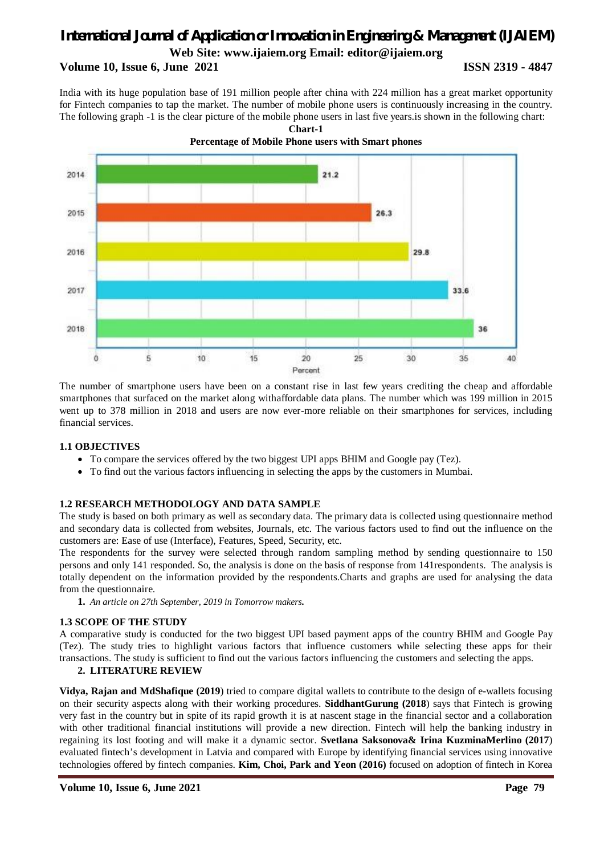### **Volume 10, Issue 6, June 2021 ISSN 2319 - 4847**

India with its huge population base of 191 million people after china with 224 million has a great market opportunity for Fintech companies to tap the market. The number of mobile phone users is continuously increasing in the country. The following graph -1 is the clear picture of the mobile phone users in last five years.is shown in the following chart:

**Chart-1**



The number of smartphone users have been on a constant rise in last few years crediting the cheap and affordable smartphones that surfaced on the market along withaffordable data plans. The number which was 199 million in 2015 went up to 378 million in 2018 and users are now ever-more reliable on their smartphones for services, including financial services.

#### **1.1 OBJECTIVES**

- To compare the services offered by the two biggest UPI apps BHIM and Google pay (Tez).
- To find out the various factors influencing in selecting the apps by the customers in Mumbai.

#### **1.2 RESEARCH METHODOLOGY AND DATA SAMPLE**

The study is based on both primary as well as secondary data. The primary data is collected using questionnaire method and secondary data is collected from websites, Journals, etc. The various factors used to find out the influence on the customers are: Ease of use (Interface), Features, Speed, Security, etc.

The respondents for the survey were selected through random sampling method by sending questionnaire to 150 persons and only 141 responded. So, the analysis is done on the basis of response from 141respondents. The analysis is totally dependent on the information provided by the respondents.Charts and graphs are used for analysing the data from the questionnaire.

**1.** *An article on 27th September, 2019 in Tomorrow makers.*

#### **1.3 SCOPE OF THE STUDY**

A comparative study is conducted for the two biggest UPI based payment apps of the country BHIM and Google Pay (Tez). The study tries to highlight various factors that influence customers while selecting these apps for their transactions. The study is sufficient to find out the various factors influencing the customers and selecting the apps.

#### **2. LITERATURE REVIEW**

**Vidya, Rajan and MdShafique (2019**) tried to compare digital wallets to contribute to the design of e-wallets focusing on their security aspects along with their working procedures. **SiddhantGurung (2018**) says that Fintech is growing very fast in the country but in spite of its rapid growth it is at nascent stage in the financial sector and a collaboration with other traditional financial institutions will provide a new direction. Fintech will help the banking industry in regaining its lost footing and will make it a dynamic sector. **Svetlana Saksonova& Irina KuzminaMerlino (2017**) evaluated fintech's development in Latvia and compared with Europe by identifying financial services using innovative technologies offered by fintech companies. **Kim, Choi, Park and Yeon (2016)** focused on adoption of fintech in Korea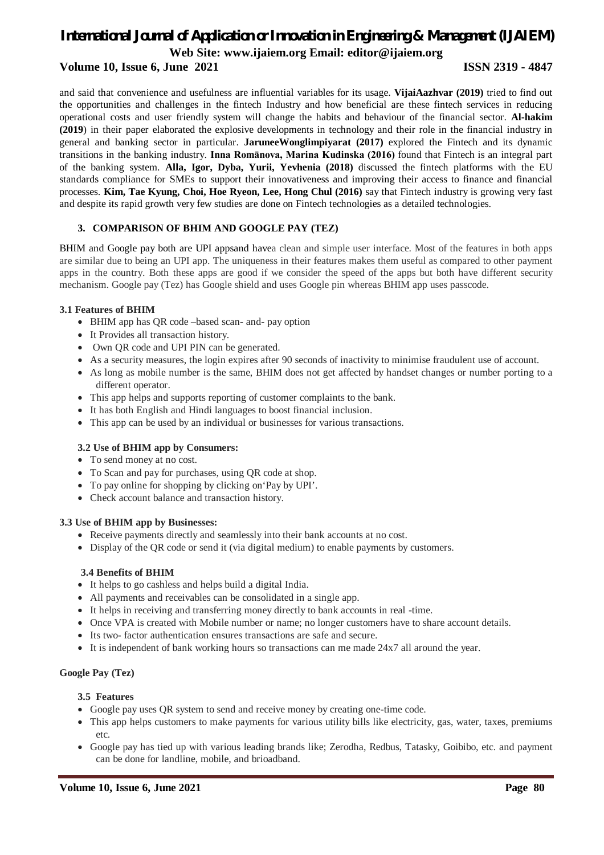### **Volume 10, Issue 6, June 2021 ISSN 2319 - 4847**

and said that convenience and usefulness are influential variables for its usage. **VijaiAazhvar (2019)** tried to find out the opportunities and challenges in the fintech Industry and how beneficial are these fintech services in reducing operational costs and user friendly system will change the habits and behaviour of the financial sector. **Al-hakim (2019**) in their paper elaborated the explosive developments in technology and their role in the financial industry in general and banking sector in particular. **JaruneeWonglimpiyarat (2017)** explored the Fintech and its dynamic transitions in the banking industry. **Inna Romānova, Marina Kudinska (2016)** found that Fintech is an integral part of the banking system. **Alla, Igor, Dyba, Yurii, Yevhenia (2018)** discussed the fintech platforms with the EU standards compliance for SMEs to support their innovativeness and improving their access to finance and financial processes. **Kim, Tae Kyung, Choi, Hoe Ryeon, Lee, Hong Chul (2016)** say that Fintech industry is growing very fast and despite its rapid growth very few studies are done on Fintech technologies as a detailed technologies.

### **3. COMPARISON OF BHIM AND GOOGLE PAY (TEZ)**

BHIM and Google pay both are UPI appsand havea clean and simple user interface. Most of the features in both apps are similar due to being an UPI app. The uniqueness in their features makes them useful as compared to other payment apps in the country. Both these apps are good if we consider the speed of the apps but both have different security mechanism. Google pay (Tez) has Google shield and uses Google pin whereas BHIM app uses passcode.

#### **3.1 Features of BHIM**

- BHIM app has QR code –based scan- and- pay option
- It Provides all transaction history.
- Own QR code and UPI PIN can be generated.
- As a security measures, the login expires after 90 seconds of inactivity to minimise fraudulent use of account.
- As long as mobile number is the same, BHIM does not get affected by handset changes or number porting to a different operator.
- This app helps and supports reporting of customer complaints to the bank.
- It has both English and Hindi languages to boost financial inclusion.
- This app can be used by an individual or businesses for various transactions.

#### **3.2 Use of BHIM app by Consumers:**

- To send money at no cost.
- To Scan and pay for purchases, using QR code at shop.
- To pay online for shopping by clicking on'Pay by UPI'.
- Check account balance and transaction history.

#### **3.3 Use of BHIM app by Businesses:**

- Receive payments directly and seamlessly into their bank accounts at no cost.
- Display of the QR code or send it (via digital medium) to enable payments by customers.

#### **3.4 Benefits of BHIM**

- It helps to go cashless and helps build a digital India.
- All payments and receivables can be consolidated in a single app.
- It helps in receiving and transferring money directly to bank accounts in real -time.
- Once VPA is created with Mobile number or name; no longer customers have to share account details.
- Its two- factor authentication ensures transactions are safe and secure.
- It is independent of bank working hours so transactions can me made 24x7 all around the year.

### **Google Pay (Tez)**

#### **3.5 Features**

- Google pay uses QR system to send and receive money by creating one-time code.
- This app helps customers to make payments for various utility bills like electricity, gas, water, taxes, premiums etc.
- Google pay has tied up with various leading brands like; Zerodha, Redbus, Tatasky, Goibibo, etc. and payment can be done for landline, mobile, and brioadband.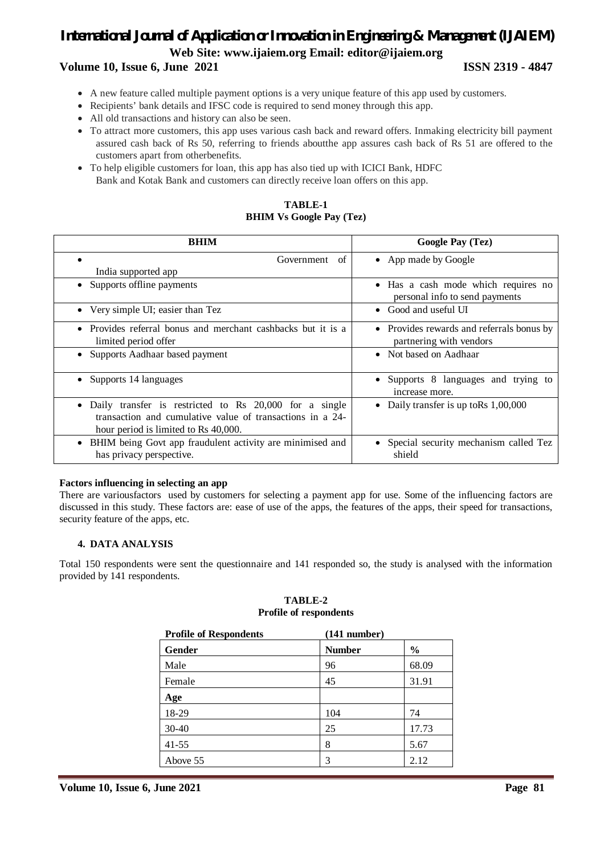### **Volume 10, Issue 6, June 2021 ISSN 2319 - 4847**

- A new feature called multiple payment options is a very unique feature of this app used by customers.
- Recipients' bank details and IFSC code is required to send money through this app.
- All old transactions and history can also be seen.
- To attract more customers, this app uses various cash back and reward offers. Inmaking electricity bill payment assured cash back of Rs 50, referring to friends aboutthe app assures cash back of Rs 51 are offered to the customers apart from otherbenefits.
- To help eligible customers for loan, this app has also tied up with ICICI Bank, HDFC Bank and Kotak Bank and customers can directly receive loan offers on this app.

### **TABLE-1 BHIM Vs Google Pay (Tez)**

| <b>BHIM</b>                                                                                                                                                              | <b>Google Pay (Tez)</b>                                               |
|--------------------------------------------------------------------------------------------------------------------------------------------------------------------------|-----------------------------------------------------------------------|
| Government<br>of                                                                                                                                                         | • App made by Google                                                  |
| India supported app                                                                                                                                                      |                                                                       |
| Supports offline payments                                                                                                                                                | • Has a cash mode which requires no<br>personal info to send payments |
| • Very simple UI; easier than Tez                                                                                                                                        | Good and useful UI                                                    |
| Provides referral bonus and merchant cashbacks but it is a<br>limited period offer                                                                                       | • Provides rewards and referrals bonus by<br>partnering with vendors  |
| Supports Aadhaar based payment                                                                                                                                           | • Not based on Aadhaar                                                |
| Supports 14 languages                                                                                                                                                    | Supports 8 languages and trying to<br>increase more.                  |
| Daily transfer is restricted to Rs 20,000 for a single<br>$\bullet$<br>transaction and cumulative value of transactions in a 24-<br>hour period is limited to Rs 40,000. | Daily transfer is up to Rs 1,00,000                                   |
| BHIM being Govt app fraudulent activity are minimised and<br>$\bullet$<br>has privacy perspective.                                                                       | Special security mechanism called Tez<br>shield                       |

#### **Factors influencing in selecting an app**

There are variousfactors used by customers for selecting a payment app for use. Some of the influencing factors are discussed in this study. These factors are: ease of use of the apps, the features of the apps, their speed for transactions, security feature of the apps, etc.

### **4. DATA ANALYSIS**

Total 150 respondents were sent the questionnaire and 141 responded so, the study is analysed with the information provided by 141 respondents.

#### **TABLE-2 Profile of respondents**

| <b>Profile of Respondents</b> | $(141$ number) |               |
|-------------------------------|----------------|---------------|
| <b>Gender</b>                 | <b>Number</b>  | $\frac{6}{9}$ |
| Male                          | 96             | 68.09         |
| Female                        | 45             | 31.91         |
| Age                           |                |               |
| 18-29                         | 104            | 74            |
| $30-40$                       | 25             | 17.73         |
| $41 - 55$                     | 8              | 5.67          |
| Above 55                      | 3              | 2.12          |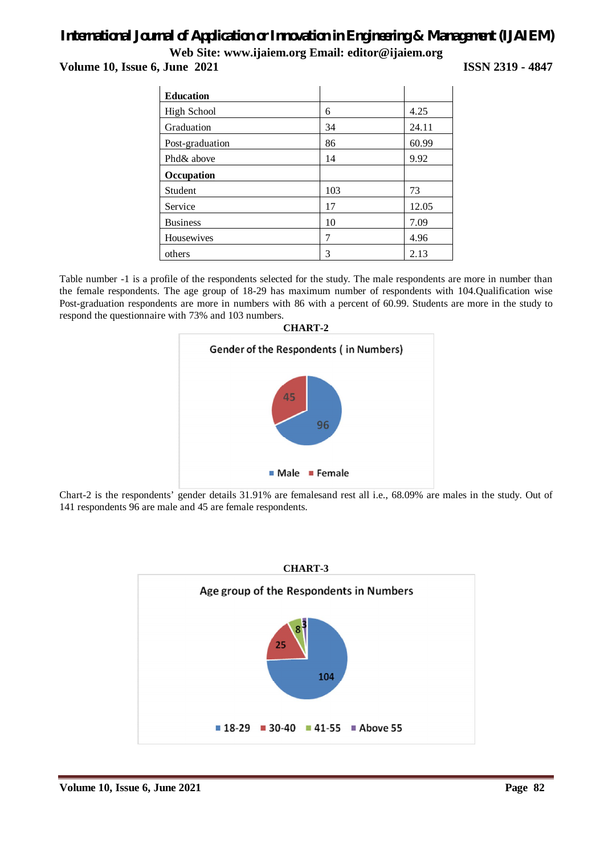**Volume 10, Issue 6, June 2021 ISSN 2319 - 4847** 

| <b>Education</b>   |     |       |
|--------------------|-----|-------|
| <b>High School</b> | 6   | 4.25  |
| Graduation         | 34  | 24.11 |
| Post-graduation    | 86  | 60.99 |
| Phd& above         | 14  | 9.92  |
| Occupation         |     |       |
| Student            | 103 | 73    |
| Service            | 17  | 12.05 |
| <b>Business</b>    | 10  | 7.09  |
| Housewives         | 7   | 4.96  |
| others             | 3   | 2.13  |

Table number -1 is a profile of the respondents selected for the study. The male respondents are more in number than the female respondents. The age group of 18-29 has maximum number of respondents with 104.Qualification wise Post-graduation respondents are more in numbers with 86 with a percent of 60.99. Students are more in the study to respond the questionnaire with 73% and 103 numbers.



Chart-2 is the respondents' gender details 31.91% are femalesand rest all i.e., 68.09% are males in the study. Out of 141 respondents 96 are male and 45 are female respondents.

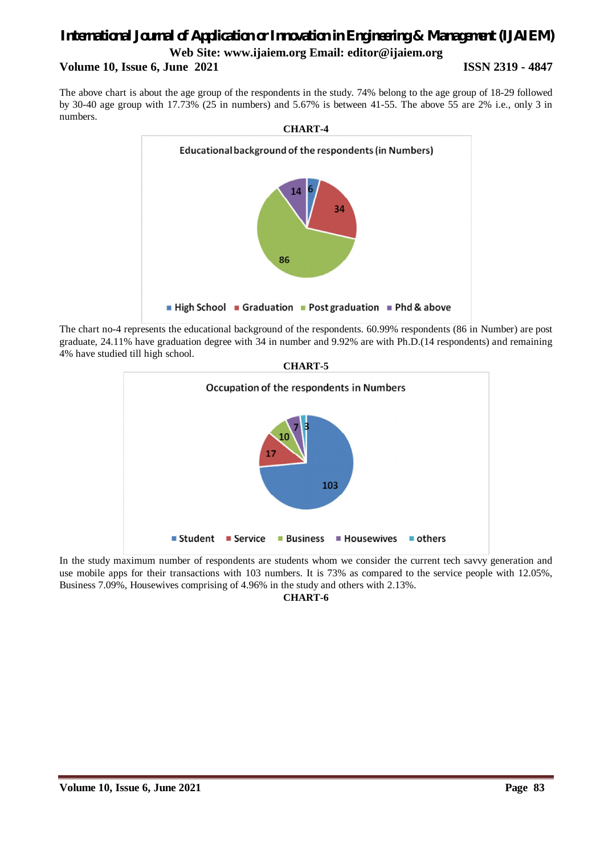#### **Volume 10, Issue 6, June 2021 ISSN 2319 - 4847**

The above chart is about the age group of the respondents in the study. 74% belong to the age group of 18-29 followed by 30-40 age group with 17.73% (25 in numbers) and 5.67% is between 41-55. The above 55 are 2% i.e., only 3 in numbers.



The chart no-4 represents the educational background of the respondents. 60.99% respondents (86 in Number) are post graduate, 24.11% have graduation degree with 34 in number and 9.92% are with Ph.D.(14 respondents) and remaining 4% have studied till high school.





In the study maximum number of respondents are students whom we consider the current tech savvy generation and use mobile apps for their transactions with 103 numbers. It is 73% as compared to the service people with 12.05%, Business 7.09%, Housewives comprising of 4.96% in the study and others with 2.13%.

**CHART-6**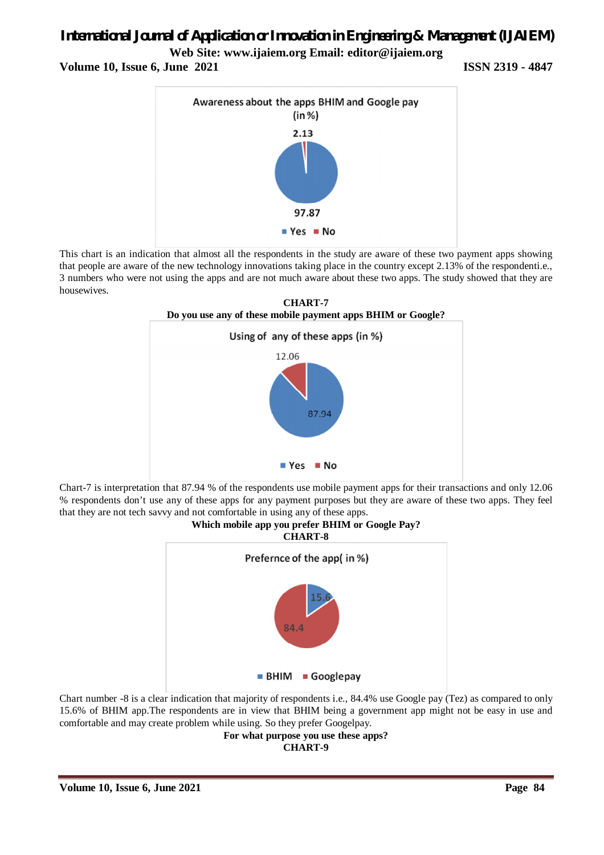## *International Journal of Application or Innovation in Engineering & Management (IJAIEM)*

**Web Site: www.ijaiem.org Email: editor@ijaiem.org**

**Volume 10, Issue 6, June 2021 ISSN 2319 - 4847** 



This chart is an indication that almost all the respondents in the study are aware of these two payment apps showing that people are aware of the new technology innovations taking place in the country except 2.13% of the respondenti.e., 3 numbers who were not using the apps and are not much aware about these two apps. The study showed that they are housewives.



Chart-7 is interpretation that 87.94 % of the respondents use mobile payment apps for their transactions and only 12.06 % respondents don't use any of these apps for any payment purposes but they are aware of these two apps. They feel that they are not tech savvy and not comfortable in using any of these apps.



Chart number -8 is a clear indication that majority of respondents i.e., 84.4% use Google pay (Tez) as compared to only 15.6% of BHIM app.The respondents are in view that BHIM being a government app might not be easy in use and comfortable and may create problem while using. So they prefer Googelpay.

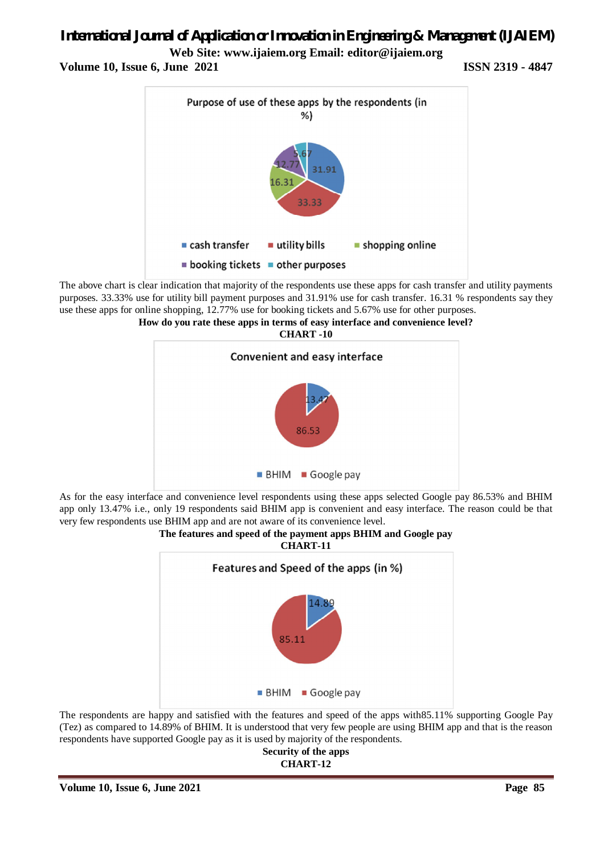## *International Journal of Application or Innovation in Engineering & Management (IJAIEM)*

**Web Site: www.ijaiem.org Email: editor@ijaiem.org**

**Volume 10, Issue 6, June 2021 ISSN 2319 - 4847** 



The above chart is clear indication that majority of the respondents use these apps for cash transfer and utility payments purposes. 33.33% use for utility bill payment purposes and 31.91% use for cash transfer. 16.31 % respondents say they use these apps for online shopping, 12.77% use for booking tickets and 5.67% use for other purposes.





As for the easy interface and convenience level respondents using these apps selected Google pay 86.53% and BHIM app only 13.47% i.e., only 19 respondents said BHIM app is convenient and easy interface. The reason could be that very few respondents use BHIM app and are not aware of its convenience level.





The respondents are happy and satisfied with the features and speed of the apps with85.11% supporting Google Pay (Tez) as compared to 14.89% of BHIM. It is understood that very few people are using BHIM app and that is the reason respondents have supported Google pay as it is used by majority of the respondents.

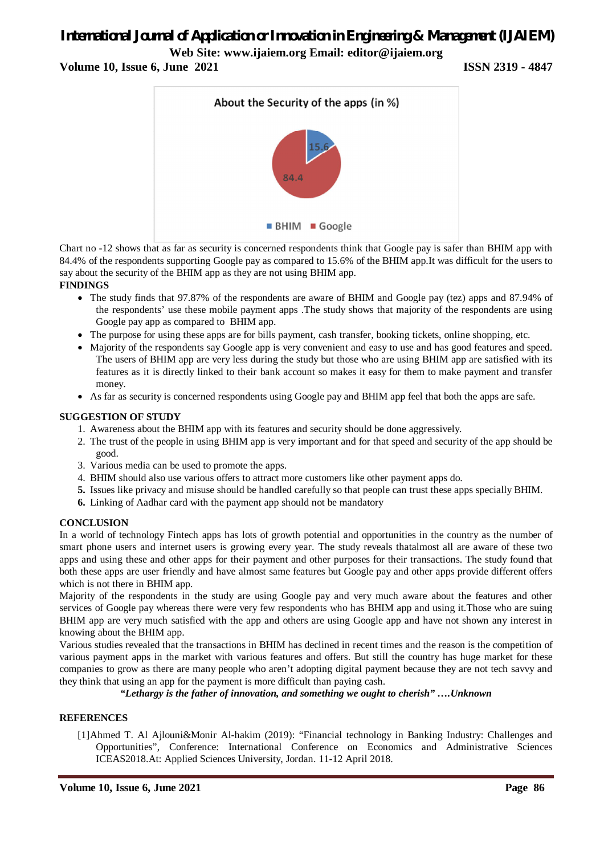## *International Journal of Application or Innovation in Engineering & Management (IJAIEM)*

**Web Site: www.ijaiem.org Email: editor@ijaiem.org**

**Volume 10, Issue 6, June 2021 ISSN 2319 - 4847** 



Chart no -12 shows that as far as security is concerned respondents think that Google pay is safer than BHIM app with 84.4% of the respondents supporting Google pay as compared to 15.6% of the BHIM app.It was difficult for the users to say about the security of the BHIM app as they are not using BHIM app. **FINDINGS**

- The study finds that 97.87% of the respondents are aware of BHIM and Google pay (tez) apps and 87.94% of the respondents' use these mobile payment apps .The study shows that majority of the respondents are using Google pay app as compared to BHIM app.
- The purpose for using these apps are for bills payment, cash transfer, booking tickets, online shopping, etc.
- Majority of the respondents say Google app is very convenient and easy to use and has good features and speed. The users of BHIM app are very less during the study but those who are using BHIM app are satisfied with its features as it is directly linked to their bank account so makes it easy for them to make payment and transfer money.
- As far as security is concerned respondents using Google pay and BHIM app feel that both the apps are safe.

#### **SUGGESTION OF STUDY**

- 1. Awareness about the BHIM app with its features and security should be done aggressively.
- 2. The trust of the people in using BHIM app is very important and for that speed and security of the app should be good.
- 3. Various media can be used to promote the apps.
- 4. BHIM should also use various offers to attract more customers like other payment apps do.
- **5.** Issues like privacy and misuse should be handled carefully so that people can trust these apps specially BHIM.
- **6.** Linking of Aadhar card with the payment app should not be mandatory

#### **CONCLUSION**

In a world of technology Fintech apps has lots of growth potential and opportunities in the country as the number of smart phone users and internet users is growing every year. The study reveals thatalmost all are aware of these two apps and using these and other apps for their payment and other purposes for their transactions. The study found that both these apps are user friendly and have almost same features but Google pay and other apps provide different offers which is not there in BHIM app.

Majority of the respondents in the study are using Google pay and very much aware about the features and other services of Google pay whereas there were very few respondents who has BHIM app and using it.Those who are suing BHIM app are very much satisfied with the app and others are using Google app and have not shown any interest in knowing about the BHIM app.

Various studies revealed that the transactions in BHIM has declined in recent times and the reason is the competition of various payment apps in the market with various features and offers. But still the country has huge market for these companies to grow as there are many people who aren't adopting digital payment because they are not tech savvy and they think that using an app for the payment is more difficult than paying cash.

*"Lethargy is the father of innovation, and something we ought to cherish" ….Unknown*

#### **REFERENCES**

[1]Ahmed T. Al Ajlouni&Monir Al-hakim (2019): "Financial technology in Banking Industry: Challenges and Opportunities", Conference: International Conference on Economics and Administrative Sciences ICEAS2018.At: Applied Sciences University, Jordan. 11-12 April 2018.